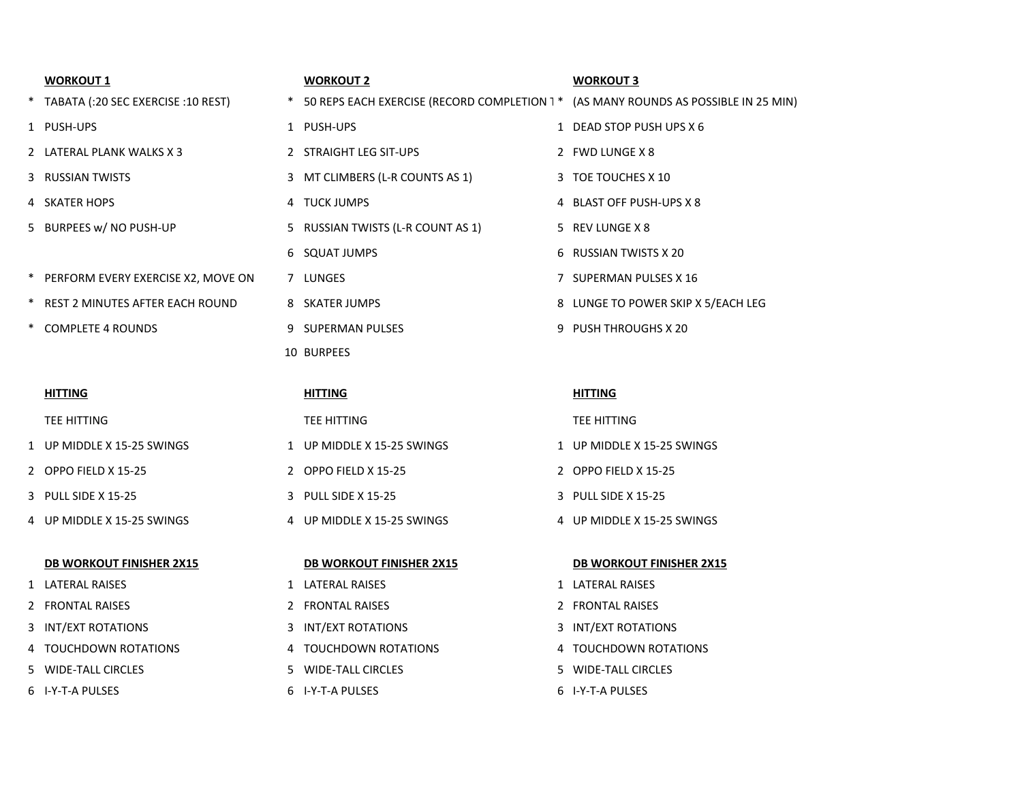| <b>WORKOUT 1</b>                   |        | <b>WORKOUT 2</b>                                                                    | <b>WORKOUT 3</b>                   |
|------------------------------------|--------|-------------------------------------------------------------------------------------|------------------------------------|
| TABATA (:20 SEC EXERCISE :10 REST) | $\ast$ | 50 REPS EACH EXERCISE (RECORD COMPLETION 1 * (AS MANY ROUNDS AS POSSIBLE IN 25 MIN) |                                    |
| 1 PUSH-UPS                         |        | 1 PUSH-UPS                                                                          | 1 DEAD STOP PUSH UPS X 6           |
| 2 LATERAL PLANK WALKS X 3          |        | 2 STRAIGHT LEG SIT-UPS                                                              | 2 FWD LUNGE X 8                    |
| 3 RUSSIAN TWISTS                   | 3      | MT CLIMBERS (L-R COUNTS AS 1)                                                       | 3 TOE TOUCHES X 10                 |
| 4 SKATER HOPS                      |        | 4 TUCK JUMPS                                                                        | 4 BLAST OFF PUSH-UPS X 8           |
| 5 BURPEES w/ NO PUSH-UP            |        | 5 RUSSIAN TWISTS (L-R COUNT AS 1)                                                   | 5 REV LUNGE X 8                    |
|                                    |        | 6 SQUAT JUMPS                                                                       | 6 RUSSIAN TWISTS X 20              |
| PERFORM EVERY EXERCISE X2, MOVE ON |        | 7 LUNGES                                                                            | 7 SUPERMAN PULSES X 16             |
| REST 2 MINUTES AFTER EACH ROUND    |        | 8 SKATER JUMPS                                                                      | 8 LUNGE TO POWER SKIP X 5/EACH LEG |
| <b>COMPLETE 4 ROUNDS</b>           |        | 9 SUPERMAN PULSES                                                                   | 9 PUSH THROUGHS X 20               |
|                                    |        | 10 BURPEES                                                                          |                                    |
|                                    |        |                                                                                     |                                    |
| <b>HITTING</b>                     |        | <b>HITTING</b>                                                                      | <b>HITTING</b>                     |
| TEE HITTING                        |        | TEE HITTING                                                                         | TEE HITTING                        |
|                                    |        |                                                                                     |                                    |
| 1 UP MIDDLE X 15-25 SWINGS         |        | 1 UP MIDDLE X 15-25 SWINGS                                                          | 1 UP MIDDLE X 15-25 SWINGS         |
| 2 OPPO FIELD X 15-25               |        | 2 OPPO FIELD X 15-25                                                                | 2 OPPO FIELD X 15-25               |
| 3 PULL SIDE X 15-25                | 3      | PULL SIDE X 15-25                                                                   | 3 PULL SIDE X 15-25                |
| 4 UP MIDDLE X 15-25 SWINGS         |        | 4 UP MIDDLE X 15-25 SWINGS                                                          | 4 UP MIDDLE X 15-25 SWINGS         |
|                                    |        |                                                                                     |                                    |
| <b>DB WORKOUT FINISHER 2X15</b>    |        | <b>DB WORKOUT FINISHER 2X15</b>                                                     | <b>DB WORKOUT FINISHER 2X15</b>    |
| 1 LATERAL RAISES                   |        | 1 LATERAL RAISES                                                                    | 1 LATERAL RAISES                   |
| 2 FRONTAL RAISES                   |        | 2 FRONTAL RAISES                                                                    | 2 FRONTAL RAISES                   |
| 3 INT/EXT ROTATIONS                |        | 3 INT/EXT ROTATIONS                                                                 | 3 INT/EXT ROTATIONS                |

- 
- I-Y-T-A PULSES 6 I-Y-T-A PULSES 6 I-Y-T-A PULSES
- WIDE-TALL CIRCLES 5 WIDE-TALL CIRCLES 5 WIDE-TALL CIRCLES
	-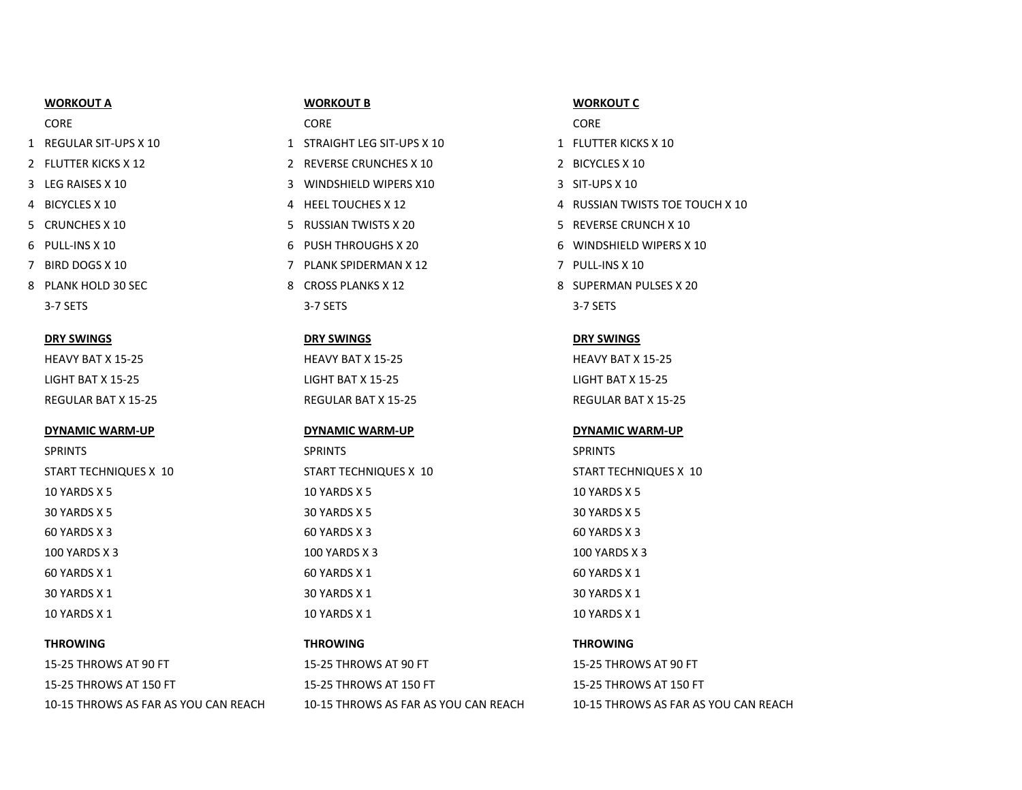### **WORKOUT A WORKOUT B WORKOUT C**

- 
- 
- 
- 
- 
- 
- 
- 3-7 SETS 3-7 SETS 3-7 SETS

### **DYNAMIC WARM-UP DYNAMIC WARM-UP DYNAMIC WARM-UP**

- 1 REGULAR SIT-UPS X 10 1 STRAIGHT LEG SIT-UPS X 10 1 FLUTTER KICKS X 10
- 2 FLUTTER KICKS X 12 2 REVERSE CRUNCHES X 10 2 BICYCLES X 10
- 3 LEG RAISES X 10 3 WINDSHIELD WIPERS X10 3 SIT-UPS X 10
	-
- 5 CRUNCHES X 10 5 RUSSIAN TWISTS X 20 5 REVERSE CRUNCH X 10
	-
- 7 BIRD DOGS X 10 **7 PLANK SPIDERMAN X 12** 7 PLANK SPIDERMAN X 12
	-

### **DRY SWINGS DRY SWINGS DRY SWINGS**

HEAVY BAT X 15-25 HEAVY BAT X 15-25 HEAVY BAT X 15-25 LIGHT BAT X 15-25 LIGHT BAT X 15-25 LIGHT BAT X 15-25

SPRINTS SPRINTS SPRINTS START TECHNIQUES X 10 START TECHNIQUES X 10 START TECHNIQUES X 10 10 YARDS X 5 10 YARDS X 5 10 YARDS X 5 30 YARDS X 5 30 YARDS X 5 30 YARDS X 5  $60$  YARDS X 3 60 YARDS X 3 60 YARDS X 3 60 YARDS X 3 100 YARDS X 3 100 YARDS X 3 100 YARDS X 3  $60$  YARDS X 1 60 YARDS X 1 60 YARDS X 1 60 YARDS X 1  $30$  YARDS X  $1$  30 YARDS X 1  $30$  YARDS X 1  $30$  YARDS X 1 10 YARDS X 1 10 YARDS X 1 10 YARDS X 1 10 YARDS X 1 10 YARDS X 1

15-25 THROWS AT 90 FT 15-25 THROWS AT 90 FT 15-25 THROWS AT 90 FT 15-25 THROWS AT 150 FT 150 FT 150 FT 15-25 THROWS AT 150 FT 15-25 THROWS AT 150 FT

# CORE CORE CORE

- 
- 
- 
- 4 BICYCLES X 10 A 4 HEEL TOUCHES X 12 4 AND STATES AND TWISTS TO TOUCH X 10
	-
- 6 PULL-INS X 10 6 PUSH THROUGHS X 20 6 WINDSHIELD WIPERS X 10
	-
- 8 PLANK HOLD 30 SEC 8 CROSS PLANKS X 12 8 CROSS PLANKS X 12 8 SUPERMAN PULSES X 20

REGULAR BAT X 15-25 REGULAR BAT X 15-25 REGULAR BAT X 15-25

# **THROWING THROWING THROWING**

10-15 THROWS AS FAR AS YOU CAN REACH 10-15 THROWS AS FAR AS YOU CAN REACH 10-15 THROWS AS FAR AS YOU CAN REACH